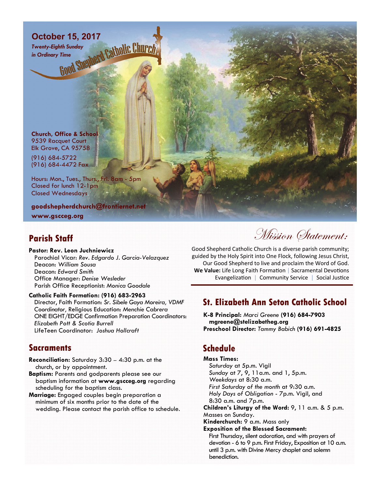# October 15, 2017<br>
Twenty-Eighth Sunday<br>
in Ordinary Time<br> **Contains Supplier of Satholic Church**

*Twenty-Eighth Sunday in Ordinary Time*

**Church, Office & School**  9539 Racquet Court Elk Grove, CA 95758

(916) 684-5722 (916) 684-4472 Fax

Hours: Mon., Tues., Thurs., Fri. 8am - 5pm Closed for lunch 12-1pm Closed Wednesdays

**goodshepherdchurch@frontiernet.net** 

**www.gscceg.org** 

## **Parish Staff**

**Pastor: Rev. Leon Juchniewicz**  Parochial Vicar: *Rev. Edgardo J. Garcia-Velazquez*  Deacon: *William Sousa*  Deacon: *Edward Smith*  Office Manager: *Denise Wesleder* Parish Office Receptionist: *Monica Goodale* 

#### **Catholic Faith Formation: (916) 683-2963**

Director, Faith Formation: *Sr. Sibele Gaya Moreira, VDMF Coordinator,* Religious Education: *Menchie Cabrera*  ONE EIGHT/EDGE Confirmation Preparation Coordinators: *Elizabeth Pott & Scotia Burrell*  LifeTeen Coordinator: *Joshua Hollcraft* 

### **Sacraments**

- **Reconciliation:** Saturday 3:30 4:30 p.m. at the church, or by appointment.
- **Baptism:** Parents and godparents please see our baptism information at **www.gscceg.org** regarding scheduling for the baptism class.
- **Marriage:** Engaged couples begin preparation a minimum of six months prior to the date of the wedding. Please contact the parish office to schedule.

Mission Statement:

Good Shepherd Catholic Church is a diverse parish community; guided by the Holy Spirit into One Flock, following Jesus Christ, Our Good Shepherd to live and proclaim the Word of God. **We Value:** Life Long Faith Formation | Sacramental Devotions Evangelization | Community Service | Social Justice

## **St. Elizabeth Ann Seton Catholic School**

**K-8 Principal:** *Marci Greene* **(916) 684-7903 mgreene@stelizabetheg.org Preschool Director:** *Tammy Babich* **(916) 691-4825** 

# **Schedule**

**Mass Times:**  *Saturday* at 5p.m. Vigil *Sunday* at 7, 9, 11a.m. and 1, 5p.m. *Weekdays* at 8:30 a.m. *First Saturday of the month* at 9:30 a.m. *Holy Days of Obligation* - 7p.m. Vigil, and 8:30 a.m. and 7p.m. **Children's Liturgy of the Word:** 9, 11 a.m. & 5 p.m. Masses on Sunday. **Kinderchurch:** 9 a.m. Mass only **Exposition of the Blessed Sacrament:**  First Thursday, silent adoration, and with prayers of devotion - 6 to 9 p.m. First Friday, Exposition at 10 a.m. until 3 p.m. with Divine Mercy chaplet and solemn benediction.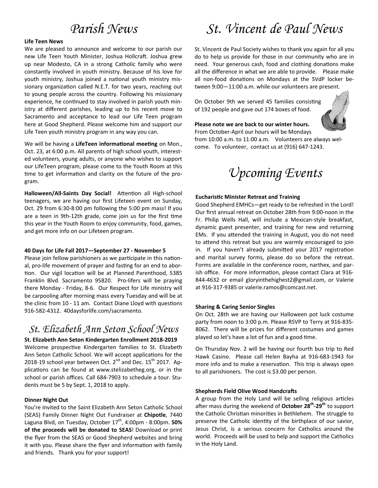# *Parish News*

#### **Life Teen News**

We are pleased to announce and welcome to our parish our new Life Teen Youth Minister, Joshua Hollcraft. Joshua grew up near Modesto, CA in a strong Catholic family who were constantly involved in youth ministry. Because of his love for youth ministry, Joshua joined a national youth ministry missionary organization called N.E.T. for two years, reaching out to young people across the country. Following his missionary experience, he continued to stay involved in parish youth ministry at different parishes, leading up to his recent move to Sacramento and acceptance to lead our Life Teen program here at Good Shepherd. Please welcome him and support our Life Teen youth ministry program in any way you can.

We will be having a LifeTeen informational meeting on Mon., Oct. 23, at 6:00 p.m. All parents of high school youth, interested volunteers, young adults, or anyone who wishes to support our LifeTeen program, please come to the Youth Room at this time to get information and clarity on the future of the program.

Halloween/All-Saints Day Social! Attention all High-school teenagers, we are having our first Lifeteen event on Sunday, Oct. 29 from 6:30-8:00 pm following the 5:00 pm mass! If you are a teen in 9th-12th grade, come join us for the first time this year in the Youth Room to enjoy community, food, games, and get more info on our Lifeteen program.

#### **40 Days for Life Fall 2017—September 27 - November 5**

Please join fellow parishioners as we participate in this national, pro-life movement of prayer and fasting for an end to abortion. Our vigil location will be at Planned Parenthood, 5385 Franklin Blvd. Sacramento 95820. Pro-lifers will be praying there Monday - Friday, 8-6. Our Respect for Life ministry will be carpooling after morning mass every Tuesday and will be at the clinic from 10 - 11 am. Contact Diane Lloyd with questions 916-582-4312. 40daysforlife.com/sacramento.

## *St. Elizabeth Ann Seton School News*

#### **St. Elizabeth Ann Seton Kindergarten Enrollment 2018-2019**

Welcome prospective Kindergarten families to St. Elizabeth Ann Seton Catholic School. We will accept applications for the 2018-19 school year between Oct.  $2^{nd}$  and Dec. 15<sup>th</sup> 2017. Applications can be found at www.stelizabetheg.org, or in the school or parish offices. Call 684-7903 to schedule a tour. Students must be 5 by Sept. 1, 2018 to apply.

#### **Dinner Night Out**

You're invited to the Saint Elizabeth Ann Seton Catholic School (SEAS) Family Dinner Night Out Fundraiser at **Chipotle**, 7440 Laguna Blvd, on Tuesday, October 17<sup>th</sup>, 4:00pm - 8:00pm. 50% **of the proceeds will be donated to SEAS**! Download or print the flyer from the SEAS or Good Shepherd websites and bring it with you. Please share the flyer and information with family and friends. Thank you for your support!

# *St. Vincent de Paul News*

St. Vincent de Paul Society wishes to thank you again for all you do to help us provide for those in our community who are in need. Your generous cash, food and clothing donations make all the difference in what we are able to provide. Please make all non-food donations on Mondays at the SVdP locker between 9:00—11:00 a.m. while our volunteers are present.

On October 9th we served 45 families consisting of 192 people and gave out 174 boxes of food.

#### **Please note we are back to our winter hours.**

From October-April our hours will be Mondays from 10:00 a.m. to 11:00 a.m. Volunteers are always welcome. To volunteer, contact us at (916) 647-1243.



#### **EucharisƟc Minister Retreat and Training**

Good Shepherd EMHCs—get ready to be refreshed in the Lord! Our first annual retreat on October 28th from 9:00-noon in the Fr. Philip Wells Hall, will include a Mexican-style breakfast, dynamic guest presenter, and training for new and returning EMs. If you attended the training in August, you do not need to attend this retreat but you are warmly encouraged to join in. If you haven't already submitted your 2017 registration and marital survey forms, please do so before the retreat. Forms are available in the conference room, narthex, and parish office. For more information, please contact Clara at 916-844-4632 or email gloryinthehighest2@gmail.com, or Valerie at 916-317-9385 or valerie.ramos@comcast.net.

#### **Sharing & Caring Senior Singles**

On Oct. 28th we are having our Halloween pot luck costume party from noon to 3:00 p.m. Please RSVP to Terry at 916-835- 8062. There will be prizes for different costumes and games played so let's have a lot of fun and a good time.

On Thursday Nov. 2 will be having our fourth bus trip to Red Hawk Casino. Please call Helen Bayha at 916-683-1943 for more info and to make a reservation. This trip is always open to all parishioners. The cost is \$3.00 per person.

#### **Shepherds Field Olive Wood Handcrafts**

A group from the Holy Land will be selling religious articles after mass during the weekend of October 28<sup>th</sup>-29<sup>th</sup> to support the Catholic Christian minorities in Bethlehem. The struggle to preserve the Catholic identity of the birthplace of our savior, Jesus Christ, is a serious concern for Catholics around the world. Proceeds will be used to help and support the Catholics in the Holy Land.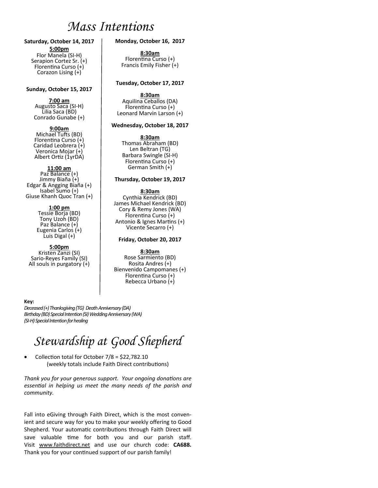# *Mass Intentions*

#### **Saturday, October 14, 2017 5:00pm**  Flor Manela (SI-H)

Serapion Cortez Sr. (+) Florentina Curso  $(+)$ Corazon Lising (+)

#### **Sunday, October 15, 2017**

#### **7:00 am**

Augusto Saca (SI-H) Lilia Saca (BD) Conrado Gunabe (+)

#### **9:00am**

Michael Tufts (BD) Florentina Curso (+) Caridad Leobrera (+) Veronica Mojar (+) Albert Ortiz (1yrDA)

#### **11:00 am**

Paz Balance (+) Jimmy Biaña (+) Edgar & Angging Biaña (+) Isabel Sumo (+) Giuse Khanh Quoc Tran (+)

#### **1:00 pm**

Tessie Borja (BD) Tony Uzoh (BD) Paz Balance (+) Eugenia Carlos (+) Luis Digal (+)

#### **5:00pm**

Kristen Zanzi (SI) Sario-Reyes Family (SI) All souls in purgatory (+)

#### **Monday, October 16, 2017**

**8:30am**<br>Florentina Curso (+) Francis Emily Fisher (+)

#### **Tuesday, October 17, 2017**

**8:30am** Aquilina Ceballos (DA) FlorenƟna Curso (+) Leonard Marvin Larson (+)

#### **Wednesday, October 18, 2017**

**8:30am** Thomas Abraham (BD) Len Beltran (TG) Barbara Swingle (SI-H) Florentina Curso (+) German Smith (+)

#### **Thursday, October 19, 2017**

#### **8:30am**

Cynthia Kendrick (BD) James Michael Kendrick (BD) Cory & Remy Jones (WA) Florentina Curso (+) Antonio & Ignes Martins (+) Vicente Secarro (+)

#### **Friday, October 20, 2017**

#### **8:30am**

Rose Sarmiento (BD) Rosita Andres (+) Bienvenido Campomanes (+) Florentina Curso (+) Rebecca Urbano (+)

#### **Key:**

*Deceased (+) Thanksgiving (TG) Death Anniversary (DA) Birthday (BD) Special Intention (SI) Wedding Anniversary (WA) (SI-H) Special Intention for healing* 

# *Stewardship at Good Shepherd*

• Collection total for October  $7/8 = $22,782.10$ (weekly totals include Faith Direct contributions)

*Thank you for your generous support. Your ongoing donations are essenƟal in helping us meet the many needs of the parish and community.* 

Fall into eGiving through Faith Direct, which is the most convenient and secure way for you to make your weekly offering to Good Shepherd. Your automatic contributions through Faith Direct will save valuable time for both you and our parish staff. Visit www.faithdirect.net and use our church code: **CA688.** Thank you for your continued support of our parish family!